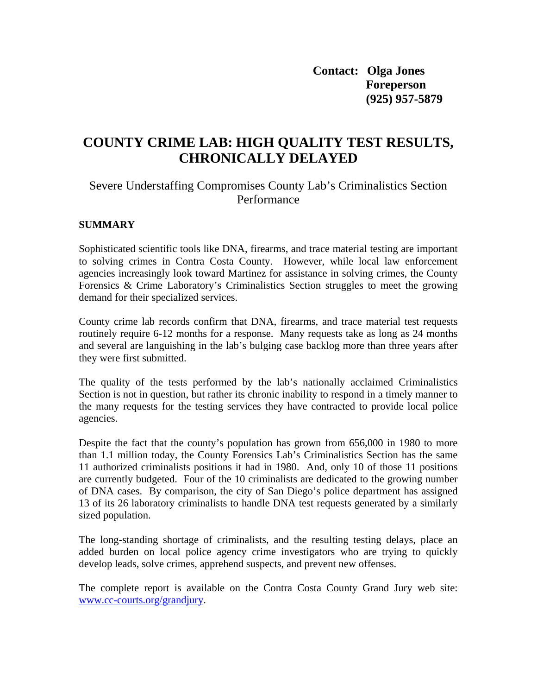**Contact: Olga Jones Foreperson (925) 957-5879** 

# **COUNTY CRIME LAB: HIGH QUALITY TEST RESULTS, CHRONICALLY DELAYED**

## Severe Understaffing Compromises County Lab's Criminalistics Section Performance

#### **SUMMARY**

Sophisticated scientific tools like DNA, firearms, and trace material testing are important to solving crimes in Contra Costa County. However, while local law enforcement agencies increasingly look toward Martinez for assistance in solving crimes, the County Forensics & Crime Laboratory's Criminalistics Section struggles to meet the growing demand for their specialized services.

County crime lab records confirm that DNA, firearms, and trace material test requests routinely require 6-12 months for a response. Many requests take as long as 24 months and several are languishing in the lab's bulging case backlog more than three years after they were first submitted.

The quality of the tests performed by the lab's nationally acclaimed Criminalistics Section is not in question, but rather its chronic inability to respond in a timely manner to the many requests for the testing services they have contracted to provide local police agencies.

Despite the fact that the county's population has grown from 656,000 in 1980 to more than 1.1 million today, the County Forensics Lab's Criminalistics Section has the same 11 authorized criminalists positions it had in 1980. And, only 10 of those 11 positions are currently budgeted. Four of the 10 criminalists are dedicated to the growing number of DNA cases. By comparison, the city of San Diego's police department has assigned 13 of its 26 laboratory criminalists to handle DNA test requests generated by a similarly sized population.

The long-standing shortage of criminalists, and the resulting testing delays, place an added burden on local police agency crime investigators who are trying to quickly develop leads, solve crimes, apprehend suspects, and prevent new offenses.

The complete report is available on the Contra Costa County Grand Jury web site: [www.cc-courts.org/grandjury.](http://www.cc-courts.org/grandjury)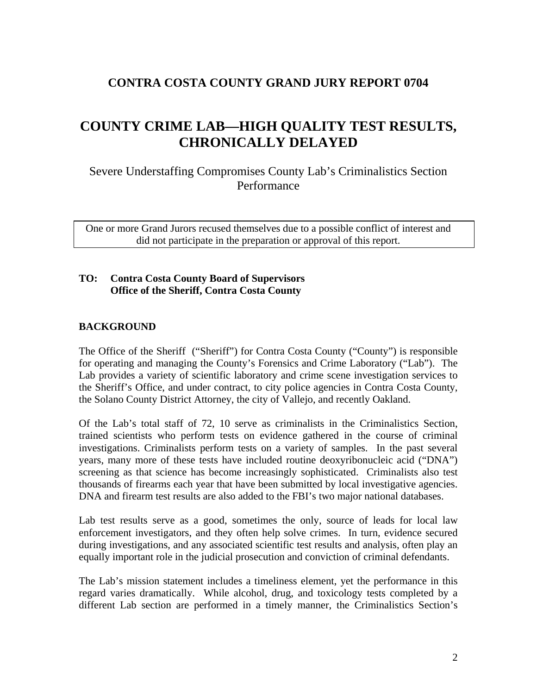# **CONTRA COSTA COUNTY GRAND JURY REPORT 0704**

# **COUNTY CRIME LAB—HIGH QUALITY TEST RESULTS, CHRONICALLY DELAYED**

Severe Understaffing Compromises County Lab's Criminalistics Section Performance

One or more Grand Jurors recused themselves due to a possible conflict of interest and did not participate in the preparation or approval of this report.

### **TO: Contra Costa County Board of Supervisors Office of the Sheriff, Contra Costa County**

#### **BACKGROUND**

The Office of the Sheriff ("Sheriff") for Contra Costa County ("County") is responsible for operating and managing the County's Forensics and Crime Laboratory ("Lab"). The Lab provides a variety of scientific laboratory and crime scene investigation services to the Sheriff's Office, and under contract, to city police agencies in Contra Costa County, the Solano County District Attorney, the city of Vallejo, and recently Oakland.

Of the Lab's total staff of 72, 10 serve as criminalists in the Criminalistics Section, trained scientists who perform tests on evidence gathered in the course of criminal investigations. Criminalists perform tests on a variety of samples. In the past several years, many more of these tests have included routine deoxyribonucleic acid ("DNA") screening as that science has become increasingly sophisticated. Criminalists also test thousands of firearms each year that have been submitted by local investigative agencies. DNA and firearm test results are also added to the FBI's two major national databases.

Lab test results serve as a good, sometimes the only, source of leads for local law enforcement investigators, and they often help solve crimes. In turn, evidence secured during investigations, and any associated scientific test results and analysis, often play an equally important role in the judicial prosecution and conviction of criminal defendants.

The Lab's mission statement includes a timeliness element, yet the performance in this regard varies dramatically. While alcohol, drug, and toxicology tests completed by a different Lab section are performed in a timely manner, the Criminalistics Section's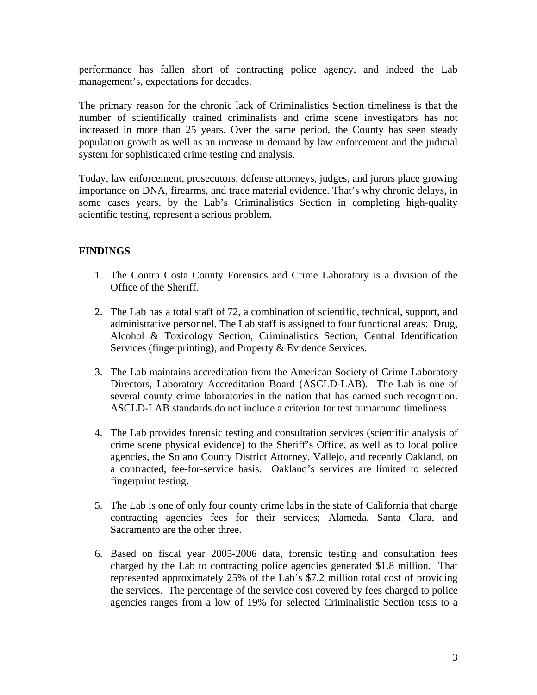performance has fallen short of contracting police agency, and indeed the Lab management's, expectations for decades.

The primary reason for the chronic lack of Criminalistics Section timeliness is that the number of scientifically trained criminalists and crime scene investigators has not increased in more than 25 years. Over the same period, the County has seen steady population growth as well as an increase in demand by law enforcement and the judicial system for sophisticated crime testing and analysis.

Today, law enforcement, prosecutors, defense attorneys, judges, and jurors place growing importance on DNA, firearms, and trace material evidence. That's why chronic delays, in some cases years, by the Lab's Criminalistics Section in completing high-quality scientific testing, represent a serious problem.

## **FINDINGS**

- 1. The Contra Costa County Forensics and Crime Laboratory is a division of the Office of the Sheriff.
- 2. The Lab has a total staff of 72, a combination of scientific, technical, support, and administrative personnel. The Lab staff is assigned to four functional areas: Drug, Alcohol & Toxicology Section, Criminalistics Section, Central Identification Services (fingerprinting), and Property & Evidence Services.
- 3. The Lab maintains accreditation from the American Society of Crime Laboratory Directors, Laboratory Accreditation Board (ASCLD-LAB). The Lab is one of several county crime laboratories in the nation that has earned such recognition. ASCLD-LAB standards do not include a criterion for test turnaround timeliness.
- 4. The Lab provides forensic testing and consultation services (scientific analysis of crime scene physical evidence) to the Sheriff's Office, as well as to local police agencies, the Solano County District Attorney, Vallejo, and recently Oakland, on a contracted, fee-for-service basis. Oakland's services are limited to selected fingerprint testing.
- 5. The Lab is one of only four county crime labs in the state of California that charge contracting agencies fees for their services; Alameda, Santa Clara, and Sacramento are the other three.
- 6. Based on fiscal year 2005-2006 data, forensic testing and consultation fees charged by the Lab to contracting police agencies generated \$1.8 million. That represented approximately 25% of the Lab's \$7.2 million total cost of providing the services. The percentage of the service cost covered by fees charged to police agencies ranges from a low of 19% for selected Criminalistic Section tests to a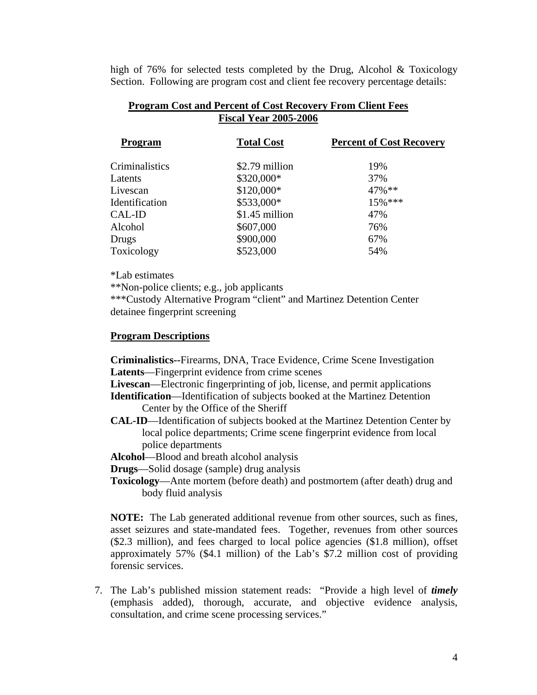high of 76% for selected tests completed by the Drug, Alcohol & Toxicology Section. Following are program cost and client fee recovery percentage details:

| <b>Fiscal Year 2005-2006</b> |                |                   |                                 |
|------------------------------|----------------|-------------------|---------------------------------|
|                              | Program        | <b>Total Cost</b> | <b>Percent of Cost Recovery</b> |
|                              | Criminalistics | \$2.79 million    | 19%                             |
|                              | Latents        | \$320,000*        | 37%                             |
|                              | Livescan       | \$120,000*        | $47\%$ **                       |
|                              | Identification | \$533,000*        | $15\%$ ***                      |
|                              | CAL-ID         | \$1.45 million    | 47%                             |
|                              | Alcohol        | \$607,000         | 76%                             |
|                              | Drugs          | \$900,000         | 67%                             |
|                              | Toxicology     | \$523,000         | 54%                             |
|                              |                |                   |                                 |

#### **Program Cost and Percent of Cost Recovery From Client Fees Fiscal Year 2005-2006**

\*Lab estimates

\*\*Non-police clients; e.g., job applicants

 \*\*\*Custody Alternative Program "client" and Martinez Detention Center detainee fingerprint screening

#### **Program Descriptions**

**Criminalistics--**Firearms, DNA, Trace Evidence, Crime Scene Investigation **Latents**—Fingerprint evidence from crime scenes

 **Livescan**—Electronic fingerprinting of job, license, and permit applications

 **Identification**—Identification of subjects booked at the Martinez Detention Center by the Office of the Sheriff

**CAL-ID**—Identification of subjects booked at the Martinez Detention Center by local police departments; Crime scene fingerprint evidence from local police departments

**Alcohol**—Blood and breath alcohol analysis

- **Drugs**—Solid dosage (sample) drug analysis
- **Toxicology**—Ante mortem (before death) and postmortem (after death) drug and body fluid analysis

 **NOTE:** The Lab generated additional revenue from other sources, such as fines, asset seizures and state-mandated fees. Together, revenues from other sources (\$2.3 million), and fees charged to local police agencies (\$1.8 million), offset approximately 57% (\$4.1 million) of the Lab's \$7.2 million cost of providing forensic services.

7. The Lab's published mission statement reads: "Provide a high level of *timely* (emphasis added), thorough, accurate, and objective evidence analysis, consultation, and crime scene processing services."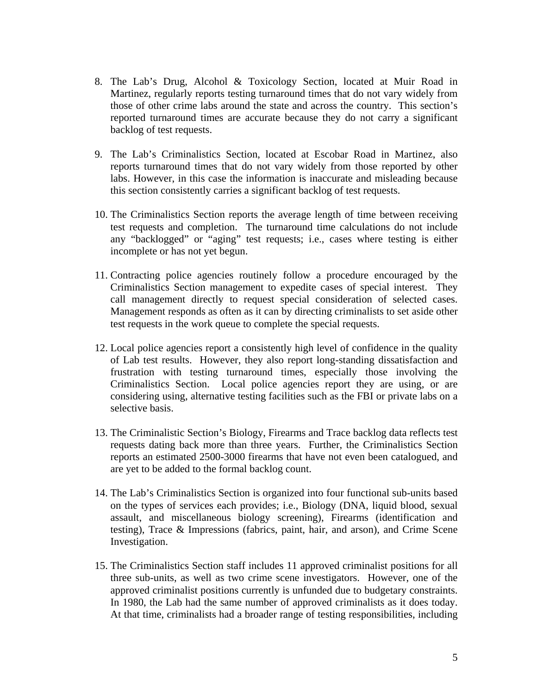- 8. The Lab's Drug, Alcohol & Toxicology Section, located at Muir Road in Martinez, regularly reports testing turnaround times that do not vary widely from those of other crime labs around the state and across the country. This section's reported turnaround times are accurate because they do not carry a significant backlog of test requests.
- 9. The Lab's Criminalistics Section, located at Escobar Road in Martinez, also reports turnaround times that do not vary widely from those reported by other labs. However, in this case the information is inaccurate and misleading because this section consistently carries a significant backlog of test requests.
- 10. The Criminalistics Section reports the average length of time between receiving test requests and completion. The turnaround time calculations do not include any "backlogged" or "aging" test requests; i.e., cases where testing is either incomplete or has not yet begun.
- 11. Contracting police agencies routinely follow a procedure encouraged by the Criminalistics Section management to expedite cases of special interest. They call management directly to request special consideration of selected cases. Management responds as often as it can by directing criminalists to set aside other test requests in the work queue to complete the special requests.
- 12. Local police agencies report a consistently high level of confidence in the quality of Lab test results. However, they also report long-standing dissatisfaction and frustration with testing turnaround times, especially those involving the Criminalistics Section. Local police agencies report they are using, or are considering using, alternative testing facilities such as the FBI or private labs on a selective basis.
- 13. The Criminalistic Section's Biology, Firearms and Trace backlog data reflects test requests dating back more than three years. Further, the Criminalistics Section reports an estimated 2500-3000 firearms that have not even been catalogued, and are yet to be added to the formal backlog count.
- 14. The Lab's Criminalistics Section is organized into four functional sub-units based on the types of services each provides; i.e., Biology (DNA, liquid blood, sexual assault, and miscellaneous biology screening), Firearms (identification and testing), Trace & Impressions (fabrics, paint, hair, and arson), and Crime Scene Investigation.
- 15. The Criminalistics Section staff includes 11 approved criminalist positions for all three sub-units, as well as two crime scene investigators. However, one of the approved criminalist positions currently is unfunded due to budgetary constraints. In 1980, the Lab had the same number of approved criminalists as it does today. At that time, criminalists had a broader range of testing responsibilities, including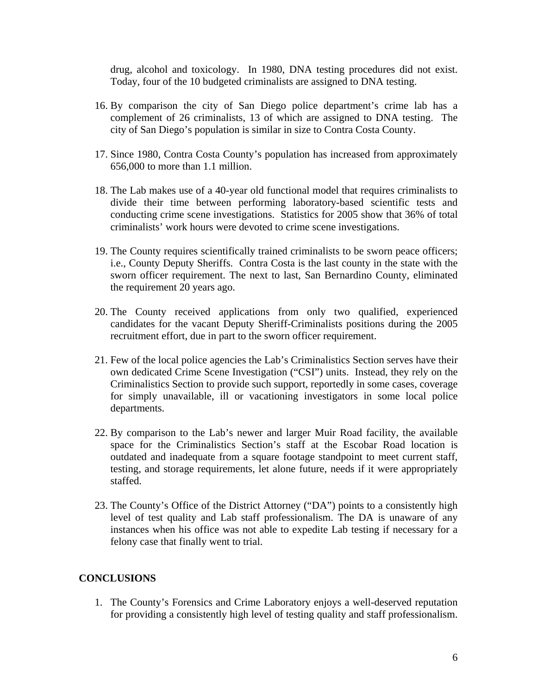drug, alcohol and toxicology. In 1980, DNA testing procedures did not exist. Today, four of the 10 budgeted criminalists are assigned to DNA testing.

- 16. By comparison the city of San Diego police department's crime lab has a complement of 26 criminalists, 13 of which are assigned to DNA testing. The city of San Diego's population is similar in size to Contra Costa County.
- 17. Since 1980, Contra Costa County's population has increased from approximately 656,000 to more than 1.1 million.
- 18. The Lab makes use of a 40-year old functional model that requires criminalists to divide their time between performing laboratory-based scientific tests and conducting crime scene investigations. Statistics for 2005 show that 36% of total criminalists' work hours were devoted to crime scene investigations.
- 19. The County requires scientifically trained criminalists to be sworn peace officers; i.e., County Deputy Sheriffs. Contra Costa is the last county in the state with the sworn officer requirement. The next to last, San Bernardino County, eliminated the requirement 20 years ago.
- 20. The County received applications from only two qualified, experienced candidates for the vacant Deputy Sheriff-Criminalists positions during the 2005 recruitment effort, due in part to the sworn officer requirement.
- 21. Few of the local police agencies the Lab's Criminalistics Section serves have their own dedicated Crime Scene Investigation ("CSI") units. Instead, they rely on the Criminalistics Section to provide such support, reportedly in some cases, coverage for simply unavailable, ill or vacationing investigators in some local police departments.
- 22. By comparison to the Lab's newer and larger Muir Road facility, the available space for the Criminalistics Section's staff at the Escobar Road location is outdated and inadequate from a square footage standpoint to meet current staff, testing, and storage requirements, let alone future, needs if it were appropriately staffed.
- 23. The County's Office of the District Attorney ("DA") points to a consistently high level of test quality and Lab staff professionalism. The DA is unaware of any instances when his office was not able to expedite Lab testing if necessary for a felony case that finally went to trial.

#### **CONCLUSIONS**

1. The County's Forensics and Crime Laboratory enjoys a well-deserved reputation for providing a consistently high level of testing quality and staff professionalism.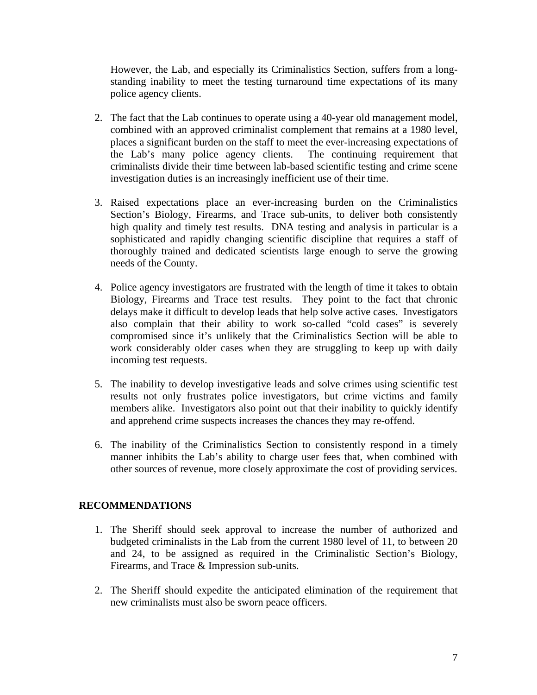However, the Lab, and especially its Criminalistics Section, suffers from a longstanding inability to meet the testing turnaround time expectations of its many police agency clients.

- 2. The fact that the Lab continues to operate using a 40-year old management model, combined with an approved criminalist complement that remains at a 1980 level, places a significant burden on the staff to meet the ever-increasing expectations of the Lab's many police agency clients. The continuing requirement that criminalists divide their time between lab-based scientific testing and crime scene investigation duties is an increasingly inefficient use of their time.
- 3. Raised expectations place an ever-increasing burden on the Criminalistics Section's Biology, Firearms, and Trace sub-units, to deliver both consistently high quality and timely test results. DNA testing and analysis in particular is a sophisticated and rapidly changing scientific discipline that requires a staff of thoroughly trained and dedicated scientists large enough to serve the growing needs of the County.
- 4. Police agency investigators are frustrated with the length of time it takes to obtain Biology, Firearms and Trace test results. They point to the fact that chronic delays make it difficult to develop leads that help solve active cases. Investigators also complain that their ability to work so-called "cold cases" is severely compromised since it's unlikely that the Criminalistics Section will be able to work considerably older cases when they are struggling to keep up with daily incoming test requests.
- 5. The inability to develop investigative leads and solve crimes using scientific test results not only frustrates police investigators, but crime victims and family members alike. Investigators also point out that their inability to quickly identify and apprehend crime suspects increases the chances they may re-offend.
- 6. The inability of the Criminalistics Section to consistently respond in a timely manner inhibits the Lab's ability to charge user fees that, when combined with other sources of revenue, more closely approximate the cost of providing services.

### **RECOMMENDATIONS**

- 1. The Sheriff should seek approval to increase the number of authorized and budgeted criminalists in the Lab from the current 1980 level of 11, to between 20 and 24, to be assigned as required in the Criminalistic Section's Biology, Firearms, and Trace & Impression sub-units.
- 2. The Sheriff should expedite the anticipated elimination of the requirement that new criminalists must also be sworn peace officers.